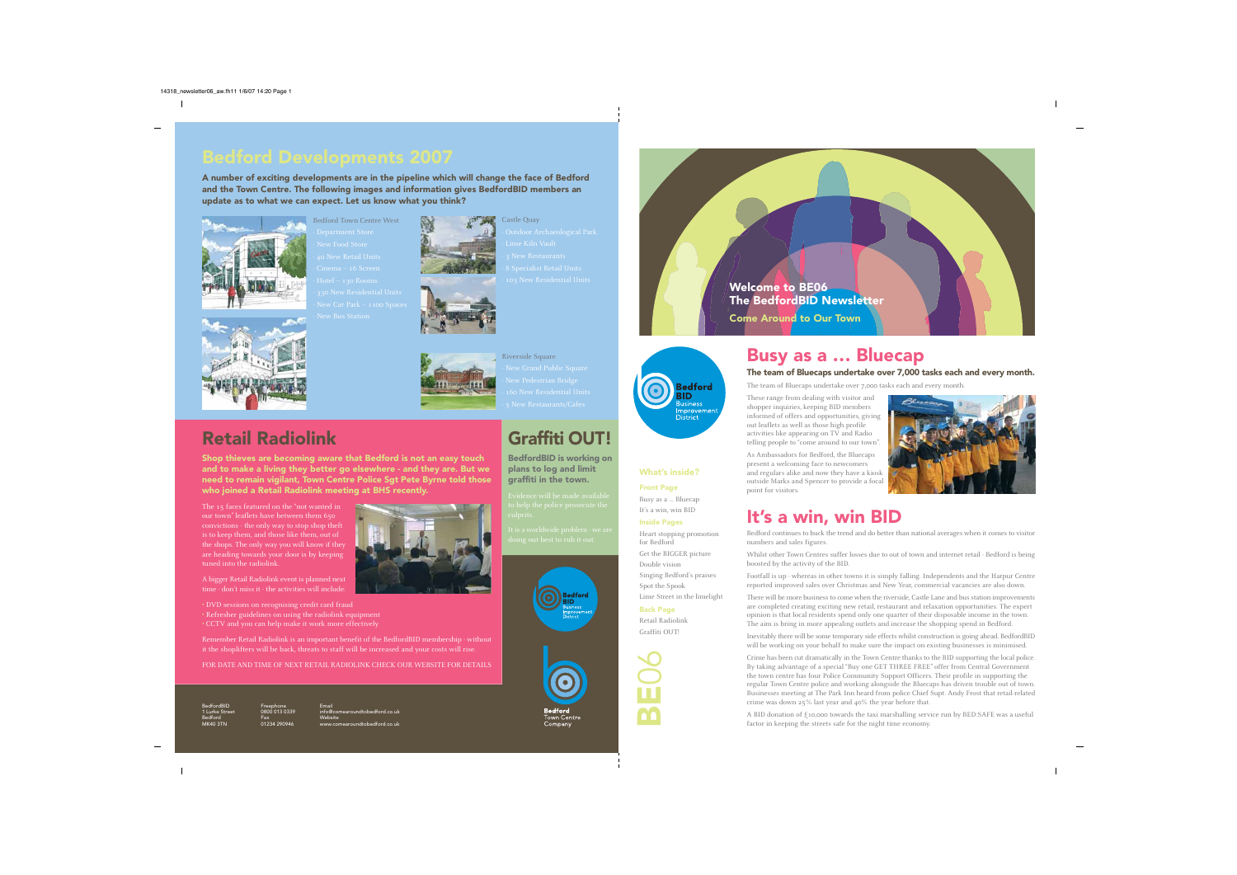# Busy as a … Bluecap

#### The team of Bluecaps undertake over 7,000 tasks each and every month.

The team of Bluecaps undertake over 7,000 tasks each and every month.

These range from dealing with visitor and shopper inquiries, keeping BID members informed of offers and opportunities, giving out leaflets as well as those high profile activities like appearing on TV and Radio telling people to "come around to our town".

As Ambassadors for Bedford, the Bluecaps present a welcoming face to newcomers and regulars alike and now they have a kiosk outside Marks and Spencer to provide a focal point for visitors.

# It's a win, win BID

Bedford continues to buck the trend and do better than national averages when it comes to visitor

numbers and sales figures.

Whilst other Town Centres suffer losses due to out of town and internet retail - Bedford is being boosted by the activity of the BID.

Footfall is up - whereas in other towns it is simply falling. Independents and the Harpur Centre reported improved sales over Christmas and New Year, commercial vacancies are also down.

There will be more business to come when the riverside, Castle Lane and bus station improvements are completed creating exciting new retail, restaurant and relaxation opportunities. The expert opinion is that local residents spend only one quarter of their disposable income in the town. The aim is bring in more appealing outlets and increase the shopping spend in Bedford.

Inevitably there will be some temporary side effects whilst construction is going ahead. BedfordBID will be working on your behalf to make sure the impact on existing businesses is minimised.

Crime has been cut dramatically in the Town Centre thanks to the BID supporting the local police. By taking advantage of a special "Buy one GET THREE FREE" offer from Central Government the town centre has four Police Community Support Officers. Their profile in supporting the regular Town Centre police and working alongside the Bluecaps has driven trouble out of town. Businesses meeting at The Park Inn heard from police Chief Supt. Andy Frost that retail-related crime was down 25% last year and 40% the year before that.<br>A BID donation of £10,000 towards the taxi marshalling service run crime was down 25% last year and 40% the year before that.

A BID donation of  $\xi$ 10,000 towards the taxi marshalling service run by BED:SAFE was a useful

Bedford Town Centre West Department Store





06

What's inside?

**Sedford ID** usiness nprovement **District** 

Front Page

Busy as a … Bluecap It's a win, win BID

Inside Pages

Heart stopping promotion

for Bedford

Get the BIGGER picture

Double vision

Singing Bedford's praises

Spot the Spook

Lime Street in the limelight

Back Page Retail Radiolink Graffiti OUT!

**Town Centre** 

BedfordBID 1 Lurke Street Bedford MK40 3TN

Freephone 0 013 033 Fax 01234 290946 Welcome to BE06 The BedfordBID Newsletter Come Around to Our Town

Email info@comearoundtobedford.co.uk Website www.comearoundtobedford.co.uk

# Graffiti OUT!





### BedfordBID is working on plans to log and limit graffiti in the town.





## Retail Radiolink

Shop thieves are becoming aware that Bedford is not an easy touch and to make a living they better go elsewhere - and they are. But we need to remain vigilant, Town Centre Police Sgt Pete Byrne told those who joined a Retail Radiolink meeting at BHS recently.

The 15 faces featured on the "not wanted in our town" leaflets have between them 650 convictions - the only way to stop shop theft is to keep them, and those like them, out of the shops. The only way you will know if they are heading towards your door is by keeping tuned into the radiolink.



A bigger Retail Radiolink event is planned next time - don't miss it - the activities will include:

• DVD sessions on recognising credit card fraud

- Refresher guidelines on using the radiolink equipment
- CCTV and you can help make it work more effectively

Remember Retail Radiolink is an important benefit of the BedfordBID membership - without it the shoplifters will be back, threats to staff will be increased and your costs will rise.

FOR DATE AND TIME OF NEXT RETAIL RADIOLINK CHECK OUR WEBSITE FOR DETAILS

A number of exciting developments are in the pipeline which will change the face of Bedford and the Town Centre. The following images and information gives BedfordBID members an update as to what we can expect. Let us know what you think?



Riverside Square

Castle Quay - Lime Kiln Vault